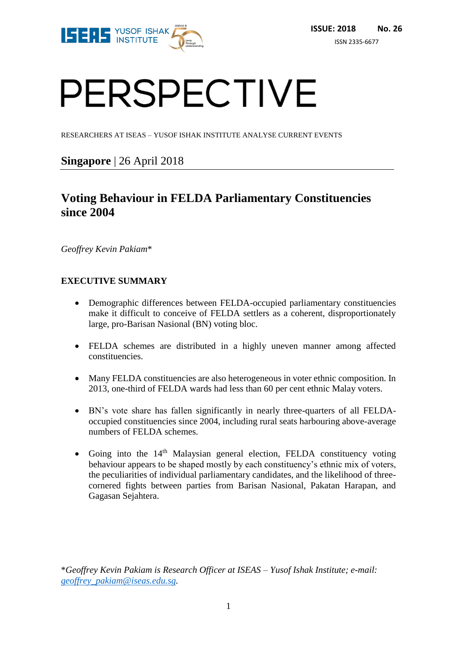

# PERSPECTIVE

RESEARCHERS AT ISEAS – YUSOF ISHAK INSTITUTE ANALYSE CURRENT EVENTS

# **Singapore** | 26 April 2018

# **Voting Behaviour in FELDA Parliamentary Constituencies since 2004**

*Geoffrey Kevin Pakiam*\*

# **EXECUTIVE SUMMARY**

- Demographic differences between FELDA-occupied parliamentary constituencies make it difficult to conceive of FELDA settlers as a coherent, disproportionately large, pro-Barisan Nasional (BN) voting bloc.
- FELDA schemes are distributed in a highly uneven manner among affected constituencies.
- Many FELDA constituencies are also heterogeneous in voter ethnic composition. In 2013, one-third of FELDA wards had less than 60 per cent ethnic Malay voters.
- BN's vote share has fallen significantly in nearly three-quarters of all FELDAoccupied constituencies since 2004, including rural seats harbouring above-average numbers of FELDA schemes.
- Going into the  $14<sup>th</sup>$  Malaysian general election, FELDA constituency voting behaviour appears to be shaped mostly by each constituency's ethnic mix of voters, the peculiarities of individual parliamentary candidates, and the likelihood of threecornered fights between parties from Barisan Nasional, Pakatan Harapan, and Gagasan Sejahtera.

\**Geoffrey Kevin Pakiam is Research Officer at ISEAS – Yusof Ishak Institute; e-mail: [geoffrey\\_pakiam@iseas.edu.sg.](mailto:geoffrey_pakiam@iseas.edu.sg)*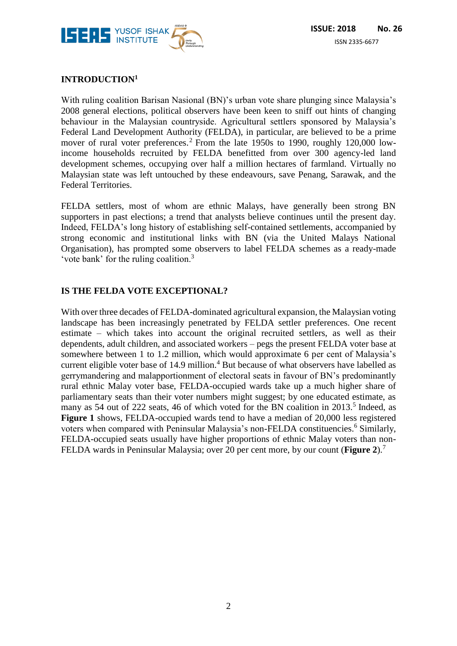

# **INTRODUCTION<sup>1</sup>**

With ruling coalition Barisan Nasional (BN)'s urban vote share plunging since Malaysia's 2008 general elections, political observers have been keen to sniff out hints of changing behaviour in the Malaysian countryside. Agricultural settlers sponsored by Malaysia's Federal Land Development Authority (FELDA), in particular, are believed to be a prime mover of rural voter preferences.<sup>2</sup> From the late 1950s to 1990, roughly 120,000 lowincome households recruited by FELDA benefitted from over 300 agency-led land development schemes, occupying over half a million hectares of farmland. Virtually no Malaysian state was left untouched by these endeavours, save Penang, Sarawak, and the Federal Territories.

FELDA settlers, most of whom are ethnic Malays, have generally been strong BN supporters in past elections; a trend that analysts believe continues until the present day. Indeed, FELDA's long history of establishing self-contained settlements, accompanied by strong economic and institutional links with BN (via the United Malays National Organisation), has prompted some observers to label FELDA schemes as a ready-made 'vote bank' for the ruling coalition.<sup>3</sup>

## **IS THE FELDA VOTE EXCEPTIONAL?**

With over three decades of FELDA-dominated agricultural expansion, the Malaysian voting landscape has been increasingly penetrated by FELDA settler preferences. One recent estimate – which takes into account the original recruited settlers, as well as their dependents, adult children, and associated workers – pegs the present FELDA voter base at somewhere between 1 to 1.2 million, which would approximate 6 per cent of Malaysia's current eligible voter base of  $14.9$  million.<sup>4</sup> But because of what observers have labelled as gerrymandering and malapportionment of electoral seats in favour of BN's predominantly rural ethnic Malay voter base, FELDA-occupied wards take up a much higher share of parliamentary seats than their voter numbers might suggest; by one educated estimate, as many as 54 out of 222 seats, 46 of which voted for the BN coalition in 2013.<sup>5</sup> Indeed, as **Figure 1** shows, FELDA-occupied wards tend to have a median of 20,000 less registered voters when compared with Peninsular Malaysia's non-FELDA constituencies.<sup>6</sup> Similarly, FELDA-occupied seats usually have higher proportions of ethnic Malay voters than non-FELDA wards in Peninsular Malaysia; over 20 per cent more, by our count (**Figure 2**).<sup>7</sup>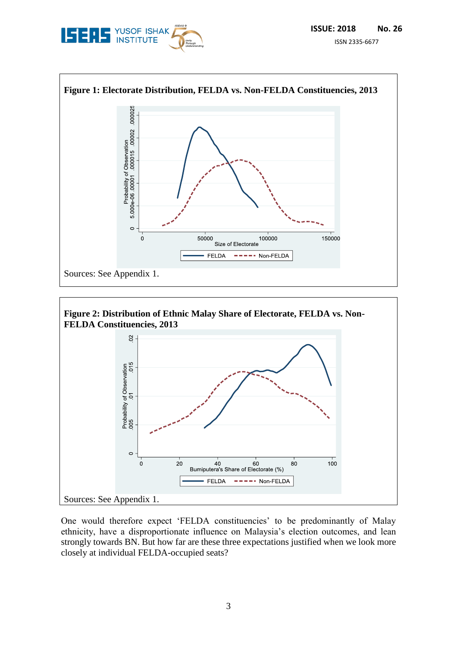





One would therefore expect 'FELDA constituencies' to be predominantly of Malay ethnicity, have a disproportionate influence on Malaysia's election outcomes, and lean strongly towards BN. But how far are these three expectations justified when we look more closely at individual FELDA-occupied seats?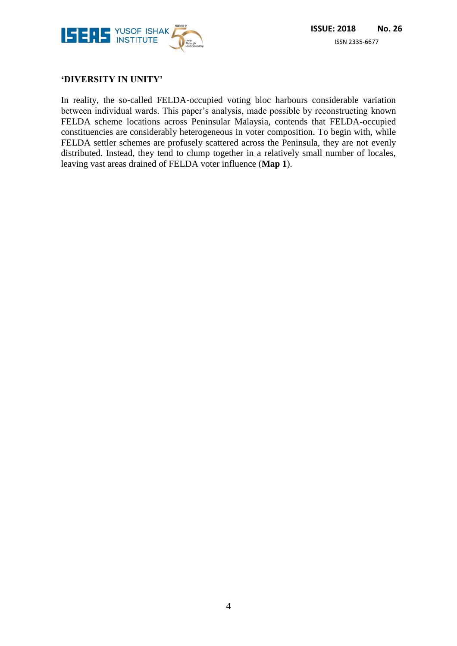

## **'DIVERSITY IN UNITY'**

In reality, the so-called FELDA-occupied voting bloc harbours considerable variation between individual wards. This paper's analysis, made possible by reconstructing known FELDA scheme locations across Peninsular Malaysia, contends that FELDA-occupied constituencies are considerably heterogeneous in voter composition. To begin with, while FELDA settler schemes are profusely scattered across the Peninsula, they are not evenly distributed. Instead, they tend to clump together in a relatively small number of locales, leaving vast areas drained of FELDA voter influence (**Map 1**).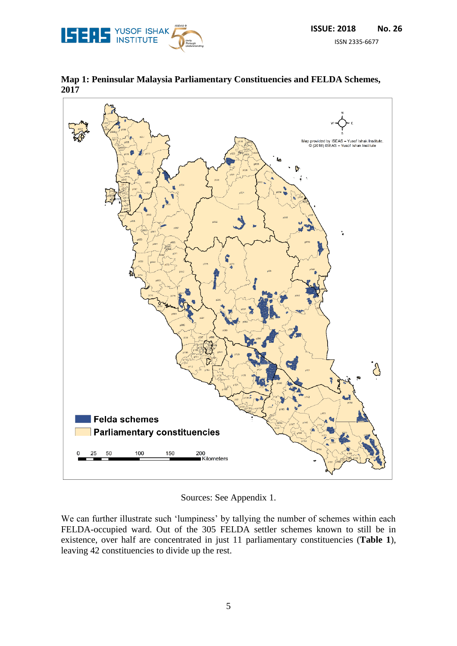



**Map 1: Peninsular Malaysia Parliamentary Constituencies and FELDA Schemes, 2017**

Sources: See Appendix 1.

We can further illustrate such 'lumpiness' by tallying the number of schemes within each FELDA-occupied ward. Out of the 305 FELDA settler schemes known to still be in existence, over half are concentrated in just 11 parliamentary constituencies (**Table 1**), leaving 42 constituencies to divide up the rest.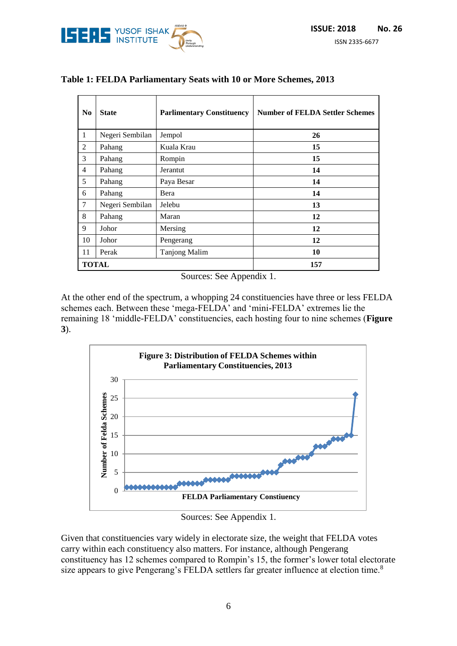

| N <sub>0</sub> | <b>State</b>    | <b>Parlimentary Constituency</b> | <b>Number of FELDA Settler Schemes</b> |
|----------------|-----------------|----------------------------------|----------------------------------------|
| 1              | Negeri Sembilan | Jempol                           | 26                                     |
| 2              | Pahang          | Kuala Krau                       | 15                                     |
| 3              | Pahang          | Rompin                           | 15                                     |
| $\overline{4}$ | Pahang          | Jerantut                         | 14                                     |
| 5              | Pahang          | Paya Besar                       | 14                                     |
| 6              | Pahang          | Bera                             | 14                                     |
| $\tau$         | Negeri Sembilan | Jelebu                           | 13                                     |
| 8              | Pahang          | Maran                            | 12                                     |
| 9              | Johor           | Mersing                          | 12                                     |
| 10             | Johor           | Pengerang                        | 12                                     |
| 11             | Perak           | <b>Tanjong Malim</b>             | 10                                     |
|                | <b>TOTAL</b>    |                                  | 157                                    |

## **Table 1: FELDA Parliamentary Seats with 10 or More Schemes, 2013**

Sources: See Appendix 1.

At the other end of the spectrum, a whopping 24 constituencies have three or less FELDA schemes each. Between these 'mega-FELDA' and 'mini-FELDA' extremes lie the remaining 18 'middle-FELDA' constituencies, each hosting four to nine schemes (**Figure 3**).



Sources: See Appendix 1.

Given that constituencies vary widely in electorate size, the weight that FELDA votes carry within each constituency also matters. For instance, although Pengerang constituency has 12 schemes compared to Rompin's 15, the former's lower total electorate size appears to give Pengerang's FELDA settlers far greater influence at election time.<sup>8</sup>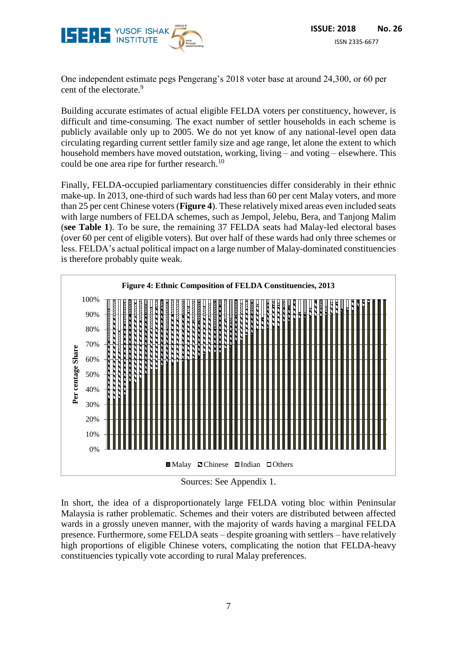

One independent estimate pegs Pengerang's 2018 voter base at around 24,300, or 60 per cent of the electorate.<sup>9</sup>

Building accurate estimates of actual eligible FELDA voters per constituency, however, is difficult and time-consuming. The exact number of settler households in each scheme is publicly available only up to 2005. We do not yet know of any national-level open data circulating regarding current settler family size and age range, let alone the extent to which household members have moved outstation, working, living – and voting – elsewhere. This could be one area ripe for further research.<sup>10</sup>

Finally, FELDA-occupied parliamentary constituencies differ considerably in their ethnic make-up. In 2013, one-third of such wards had less than 60 per cent Malay voters, and more than 25 per cent Chinese voters (**Figure 4**). These relatively mixed areas even included seats with large numbers of FELDA schemes, such as Jempol, Jelebu, Bera, and Tanjong Malim (**see Table 1**). To be sure, the remaining 37 FELDA seats had Malay-led electoral bases (over 60 per cent of eligible voters). But over half of these wards had only three schemes or less. FELDA's actual political impact on a large number of Malay-dominated constituencies is therefore probably quite weak.



Sources: See Appendix 1.

In short, the idea of a disproportionately large FELDA voting bloc within Peninsular Malaysia is rather problematic. Schemes and their voters are distributed between affected wards in a grossly uneven manner, with the majority of wards having a marginal FELDA presence. Furthermore, some FELDA seats – despite groaning with settlers – have relatively high proportions of eligible Chinese voters, complicating the notion that FELDA-heavy constituencies typically vote according to rural Malay preferences.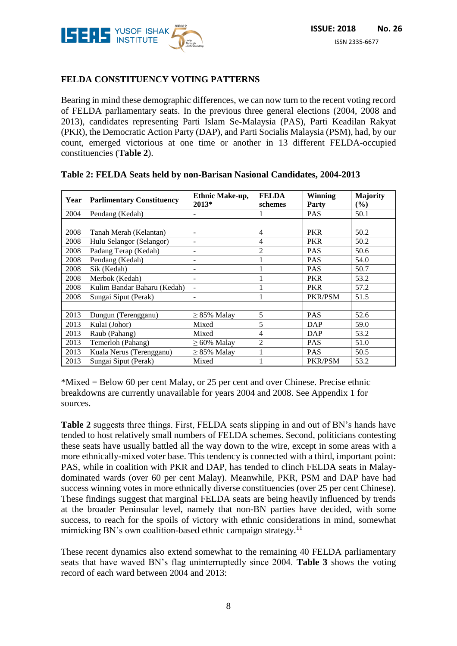

# **FELDA CONSTITUENCY VOTING PATTERNS**

Bearing in mind these demographic differences, we can now turn to the recent voting record of FELDA parliamentary seats. In the previous three general elections (2004, 2008 and 2013), candidates representing Parti Islam Se-Malaysia (PAS), Parti Keadilan Rakyat (PKR), the Democratic Action Party (DAP), and Parti Socialis Malaysia (PSM), had, by our count, emerged victorious at one time or another in 13 different FELDA-occupied constituencies (**Table 2**).

| Year | <b>Parlimentary Constituency</b> | Ethnic Make-up,<br>$2013*$ | <b>FELDA</b><br>schemes | Winning<br>Party | <b>Majority</b><br>(%) |
|------|----------------------------------|----------------------------|-------------------------|------------------|------------------------|
| 2004 | Pendang (Kedah)                  |                            |                         | <b>PAS</b>       | 50.1                   |
|      |                                  |                            |                         |                  |                        |
| 2008 | Tanah Merah (Kelantan)           |                            | $\overline{4}$          | <b>PKR</b>       | 50.2                   |
| 2008 | Hulu Selangor (Selangor)         |                            | $\overline{4}$          | <b>PKR</b>       | 50.2                   |
| 2008 | Padang Terap (Kedah)             |                            | $\overline{2}$          | <b>PAS</b>       | 50.6                   |
| 2008 | Pendang (Kedah)                  |                            | 1                       | <b>PAS</b>       | 54.0                   |
| 2008 | Sik (Kedah)                      |                            | 1                       | <b>PAS</b>       | 50.7                   |
| 2008 | Merbok (Kedah)                   |                            | $\mathbf{1}$            | <b>PKR</b>       | 53.2                   |
| 2008 | Kulim Bandar Baharu (Kedah)      |                            | 1                       | <b>PKR</b>       | 57.2                   |
| 2008 | Sungai Siput (Perak)             |                            | 1                       | PKR/PSM          | 51.5                   |
|      |                                  |                            |                         |                  |                        |
| 2013 | Dungun (Terengganu)              | $\geq$ 85% Malay           | 5                       | <b>PAS</b>       | 52.6                   |
| 2013 | Kulai (Johor)                    | Mixed                      | 5                       | DAP              | 59.0                   |
| 2013 | Raub (Pahang)                    | Mixed                      | 4                       | DAP              | 53.2                   |
| 2013 | Temerloh (Pahang)                | $\geq 60\%$ Malay          | $\overline{2}$          | <b>PAS</b>       | 51.0                   |
| 2013 | Kuala Nerus (Terengganu)         | $\geq$ 85% Malay           | 1                       | <b>PAS</b>       | 50.5                   |
| 2013 | Sungai Siput (Perak)             | Mixed                      | 1                       | PKR/PSM          | 53.2                   |

#### **Table 2: FELDA Seats held by non-Barisan Nasional Candidates, 2004-2013**

\*Mixed = Below 60 per cent Malay, or 25 per cent and over Chinese. Precise ethnic breakdowns are currently unavailable for years 2004 and 2008. See Appendix 1 for sources.

**Table 2** suggests three things. First, FELDA seats slipping in and out of BN's hands have tended to host relatively small numbers of FELDA schemes. Second, politicians contesting these seats have usually battled all the way down to the wire, except in some areas with a more ethnically-mixed voter base. This tendency is connected with a third, important point: PAS, while in coalition with PKR and DAP, has tended to clinch FELDA seats in Malaydominated wards (over 60 per cent Malay). Meanwhile, PKR, PSM and DAP have had success winning votes in more ethnically diverse constituencies (over 25 per cent Chinese). These findings suggest that marginal FELDA seats are being heavily influenced by trends at the broader Peninsular level, namely that non-BN parties have decided, with some success, to reach for the spoils of victory with ethnic considerations in mind, somewhat mimicking BN's own coalition-based ethnic campaign strategy.<sup>11</sup>

These recent dynamics also extend somewhat to the remaining 40 FELDA parliamentary seats that have waved BN's flag uninterruptedly since 2004. **Table 3** shows the voting record of each ward between 2004 and 2013: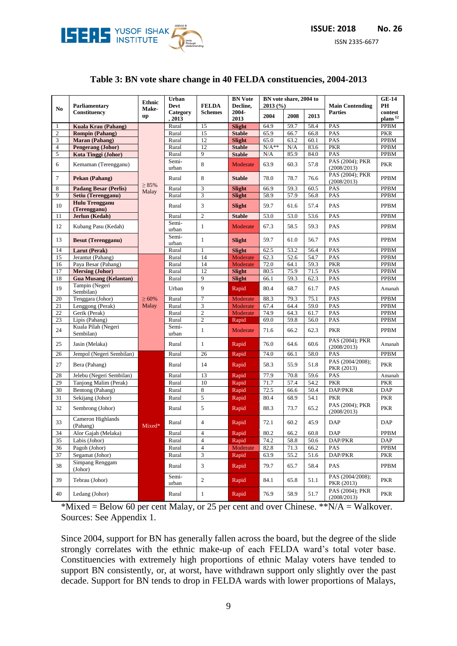

ISSN 2335-6677

#### **Table 3: BN vote share change in 40 FELDA constituencies, 2004-2013**

| No.            | Parliamentary                         | <b>BN</b> Vote<br>Urban<br>BN vote share, 2004 to<br><b>Ethnic</b><br>Devt<br><b>FELDA</b><br>Decline.<br>2013(%)<br>Make- |                    |                  | <b>Main Contending</b> | <b>GE-14</b><br>PН |      |      |                                |                                |
|----------------|---------------------------------------|----------------------------------------------------------------------------------------------------------------------------|--------------------|------------------|------------------------|--------------------|------|------|--------------------------------|--------------------------------|
|                | Constituency                          | up                                                                                                                         | Category<br>, 2013 | <b>Schemes</b>   | 2004-<br>2013          | 2004               | 2008 | 2013 | <b>Parties</b>                 | contest<br>plans <sup>12</sup> |
| 1              | <b>Kuala Krau (Pahang)</b>            |                                                                                                                            | Rural              | 15               | <b>Slight</b>          | 64.9               | 59.7 | 58.4 | PAS                            | PPBM                           |
| $\sqrt{2}$     | <b>Rompin (Pahang)</b>                |                                                                                                                            | Rural              | 15               | <b>Stable</b>          | 65.9               | 66.7 | 66.8 | PAS                            | <b>PKR</b>                     |
| 3              | <b>Maran</b> (Pahang)                 |                                                                                                                            | Rural              | 12               | <b>Slight</b>          | 65.0               | 63.2 | 60.1 | PAS                            | <b>PPBM</b>                    |
| $\overline{4}$ | <b>Pengerang (Johor)</b>              |                                                                                                                            | Rural              | 12               | <b>Stable</b>          | $N/A**$            | N/A  | 83.6 | <b>PKR</b>                     | <b>PPBM</b>                    |
| 5              | Kota Tinggi (Johor)                   |                                                                                                                            | Rural              | 9                | <b>Stable</b>          | N/A                | 85.9 | 84.0 | PAS                            | <b>PPBM</b>                    |
| 6              | Kemaman (Terengganu)                  |                                                                                                                            | Semi-<br>urban     | 8                | Moderate               | 63.9               | 60.3 | 57.8 | PAS (2004); PKR<br>(2008/2013) | <b>PKR</b>                     |
| 7              | Pekan (Pahang)                        | $\geq 85\%$                                                                                                                | Rural              | 8                | <b>Stable</b>          | 78.0               | 78.7 | 76.6 | PAS (2004); PKR<br>(2008/2013) | PPBM                           |
| 8              | <b>Padang Besar (Perlis)</b>          | Malay                                                                                                                      | Rural              | 3                | <b>Slight</b>          | 66.9               | 59.3 | 60.5 | PAS                            | <b>PPBM</b>                    |
| 9              | Setiu (Terengganu)                    |                                                                                                                            | Rural              | 3                | <b>Slight</b>          | 58.9               | 57.9 | 56.8 | PAS                            | <b>PPBM</b>                    |
| 10             | <b>Hulu Trengganu</b><br>(Terengganu) |                                                                                                                            | Rural              | 3                | <b>Slight</b>          | 59.7               | 61.6 | 57.4 | PAS                            | PPBM                           |
| 11             | Jerlun (Kedah)                        |                                                                                                                            | Rural              | $\overline{2}$   | <b>Stable</b>          | 53.0               | 53.0 | 53.6 | PAS                            | <b>PPBM</b>                    |
| 12             | Kubang Pasu (Kedah)                   |                                                                                                                            | Semi-<br>urban     | 1                | Moderate               | 67.3               | 58.5 | 59.3 | PAS                            | PPBM                           |
| 13             | <b>Besut (Terengganu)</b>             |                                                                                                                            | Semi-<br>urban     | $\mathbf{1}$     | <b>Slight</b>          | 59.7               | 61.0 | 56.7 | PAS                            | PPBM                           |
| 14             | <b>Larut (Perak)</b>                  |                                                                                                                            | Rural              | $\mathbf{1}$     | <b>Slight</b>          | 62.5               | 53.2 | 56.4 | PAS                            | <b>PPBM</b>                    |
| 15             | Jerantut (Pahang)                     |                                                                                                                            | Rural              | 14               | Moderate               | 62.3               | 52.6 | 54.7 | PAS                            | <b>PPBM</b>                    |
| 16             | Paya Besar (Pahang)                   |                                                                                                                            | Rural              | 14               | Moderate               | 72.0               | 64.1 | 59.3 | <b>PKR</b>                     | <b>PPBM</b>                    |
| 17             | <b>Mersing (Johor)</b>                |                                                                                                                            | Rural              | 12               | <b>Slight</b>          | 80.5               | 75.9 | 71.5 | PAS                            | <b>PPBM</b>                    |
| 18             | <b>Gua Musang (Kelantan)</b>          |                                                                                                                            | Rural              | 9                | <b>Slight</b>          | 66.1               | 59.3 | 62.3 | PAS                            | <b>PPBM</b>                    |
| 19             | Tampin (Negeri<br>Sembilan)           |                                                                                                                            | Urban              | 9                | Rapid                  | 80.4               | 68.7 | 61.7 | PAS                            | Amanah                         |
| 20             | Tenggara (Johor)                      | $\geq 60\%$                                                                                                                | Rural              | 7                | Moderate               | 88.3               | 79.3 | 75.1 | PAS                            | <b>PPBM</b>                    |
| 21             | Lenggong (Perak)                      | Malay                                                                                                                      | Rural              | 3                | Moderate               | 67.4               | 64.4 | 59.0 | PAS                            | <b>PPBM</b>                    |
| 22             | Gerik (Perak)                         |                                                                                                                            | Rural              | $\mathbf{2}$     | Moderate               | 74.9               | 64.3 | 61.7 | PAS                            | <b>PPBM</b>                    |
| 23             | Lipis (Pahang)                        |                                                                                                                            | Rural              | $\mathbf{2}$     | Rapid                  | 69.0               | 59.8 | 56.0 | PAS                            | <b>PPBM</b>                    |
| 24             | Kuala Pilah (Negeri<br>Sembilan)      |                                                                                                                            | Semi-<br>urban     | $\mathbf{1}$     | Moderate               | 71.6               | 66.2 | 62.3 | <b>PKR</b>                     | PPBM                           |
| 25             | Jasin (Melaka)                        |                                                                                                                            | Rural              | $\mathbf{1}$     | Rapid                  | 76.0               | 64.6 | 60.6 | PAS (2004); PKR<br>(2008/2013) | Amanah                         |
| 26             | Jempol (Negeri Sembilan)              |                                                                                                                            | Rural              | 26               | Rapid                  | 74.0               | 66.1 | 58.0 | PAS                            | <b>PPBM</b>                    |
| 27             | Bera (Pahang)                         |                                                                                                                            | Rural              | 14               | Rapid                  | 58.3               | 55.9 | 51.8 | PAS (2004/2008);<br>PKR (2013) | <b>PKR</b>                     |
| 28             | Jelebu (Negeri Sembilan)              |                                                                                                                            | Rural              | 13               | Rapid                  | 77.9               | 70.8 | 59.6 | PAS                            | Amanah                         |
| 29             | Tanjong Malim (Perak)                 |                                                                                                                            | Rural              | 10               | Rapid                  | 71.7               | 57.4 | 54.2 | <b>PKR</b>                     | <b>PKR</b>                     |
| 30             | Bentong (Pahang)                      |                                                                                                                            | Rural              | 8                | Rapid                  | 72.5               | 66.6 | 50.4 | DAP/PKR                        | <b>DAP</b>                     |
| 31             | Sekijang (Johor)                      |                                                                                                                            | Rural              | 5                | Rapid                  | 80.4               | 68.9 | 54.1 | <b>PKR</b>                     | <b>PKR</b>                     |
| 32             | Sembrong (Johor)                      |                                                                                                                            | Rural              | 5                | Rapid                  | 88.3               | 73.7 | 65.2 | PAS (2004); PKR<br>(2008/2013) | <b>PKR</b>                     |
| 33             | Cameron Highlands<br>(Pahang)         | Mixed*                                                                                                                     | Rural              | $\overline{4}$   | Rapid                  | 72.1               | 60.2 | 45.9 | <b>DAP</b>                     | <b>DAP</b>                     |
| 34             | Alor Gajah (Melaka)                   |                                                                                                                            | Rural              | $\overline{4}$   | Rapid                  | 80.2               | 66.2 | 60.8 | <b>DAP</b>                     | <b>PPBM</b>                    |
| 35             | Labis (Johor)                         |                                                                                                                            | Rural              | 4                | Rapid                  | 74.2               | 58.8 | 50.6 | DAP/PKR                        | DAP                            |
| 36             | Pagoh (Johor)                         |                                                                                                                            | Rural              | $\overline{4}$   | Moderate               | 82.8               | 71.3 | 66.2 | PAS                            | <b>PPBM</b>                    |
| 37             | Segamat (Johor)                       |                                                                                                                            | Rural              | 3                | Rapid                  | 63.9               | 55.2 | 51.6 | DAP/PKR                        | <b>PKR</b>                     |
| 38             | Simpang Renggam<br>(Johor)            |                                                                                                                            | Rural              | 3                | Rapid                  | 79.7               | 65.7 | 58.4 | PAS                            | PPBM                           |
| 39             | Tebrau (Johor)                        |                                                                                                                            | Semi-<br>urban     | $\boldsymbol{2}$ | Rapid                  | 84.1               | 65.8 | 51.1 | PAS (2004/2008);<br>PKR (2013) | <b>PKR</b>                     |
| 40             | Ledang (Johor)                        |                                                                                                                            | Rural              | $\mathbf{1}$     | Rapid                  | 76.9               | 58.9 | 51.7 | PAS (2004); PKR<br>(2008/2013) | <b>PKR</b>                     |

\*Mixed = Below 60 per cent Malay, or 25 per cent and over Chinese. \*\*N/A = Walkover. Sources: See Appendix 1.

Since 2004, support for BN has generally fallen across the board, but the degree of the slide strongly correlates with the ethnic make-up of each FELDA ward's total voter base. Constituencies with extremely high proportions of ethnic Malay voters have tended to support BN consistently, or, at worst, have withdrawn support only slightly over the past decade. Support for BN tends to drop in FELDA wards with lower proportions of Malays,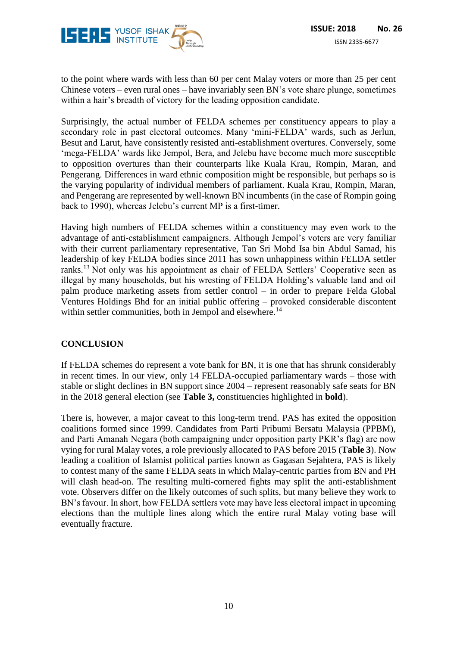

to the point where wards with less than 60 per cent Malay voters or more than 25 per cent Chinese voters – even rural ones – have invariably seen BN's vote share plunge, sometimes within a hair's breadth of victory for the leading opposition candidate.

Surprisingly, the actual number of FELDA schemes per constituency appears to play a secondary role in past electoral outcomes. Many 'mini-FELDA' wards, such as Jerlun, Besut and Larut, have consistently resisted anti-establishment overtures. Conversely, some 'mega-FELDA' wards like Jempol, Bera, and Jelebu have become much more susceptible to opposition overtures than their counterparts like Kuala Krau, Rompin, Maran, and Pengerang. Differences in ward ethnic composition might be responsible, but perhaps so is the varying popularity of individual members of parliament. Kuala Krau, Rompin, Maran, and Pengerang are represented by well-known BN incumbents (in the case of Rompin going back to 1990), whereas Jelebu's current MP is a first-timer.

Having high numbers of FELDA schemes within a constituency may even work to the advantage of anti-establishment campaigners. Although Jempol's voters are very familiar with their current parliamentary representative, Tan Sri Mohd Isa bin Abdul Samad, his leadership of key FELDA bodies since 2011 has sown unhappiness within FELDA settler ranks.<sup>13</sup> Not only was his appointment as chair of FELDA Settlers' Cooperative seen as illegal by many households, but his wresting of FELDA Holding's valuable land and oil palm produce marketing assets from settler control – in order to prepare Felda Global Ventures Holdings Bhd for an initial public offering – provoked considerable discontent within settler communities, both in Jempol and elsewhere.<sup>14</sup>

#### **CONCLUSION**

If FELDA schemes do represent a vote bank for BN, it is one that has shrunk considerably in recent times. In our view, only 14 FELDA-occupied parliamentary wards – those with stable or slight declines in BN support since 2004 – represent reasonably safe seats for BN in the 2018 general election (see **Table 3,** constituencies highlighted in **bold**).

There is, however, a major caveat to this long-term trend. PAS has exited the opposition coalitions formed since 1999. Candidates from Parti Pribumi Bersatu Malaysia (PPBM), and Parti Amanah Negara (both campaigning under opposition party PKR's flag) are now vying for rural Malay votes, a role previously allocated to PAS before 2015 (**Table 3**). Now leading a coalition of Islamist political parties known as Gagasan Sejahtera, PAS is likely to contest many of the same FELDA seats in which Malay-centric parties from BN and PH will clash head-on. The resulting multi-cornered fights may split the anti-establishment vote. Observers differ on the likely outcomes of such splits, but many believe they work to BN's favour. In short, how FELDA settlers vote may have less electoral impact in upcoming elections than the multiple lines along which the entire rural Malay voting base will eventually fracture.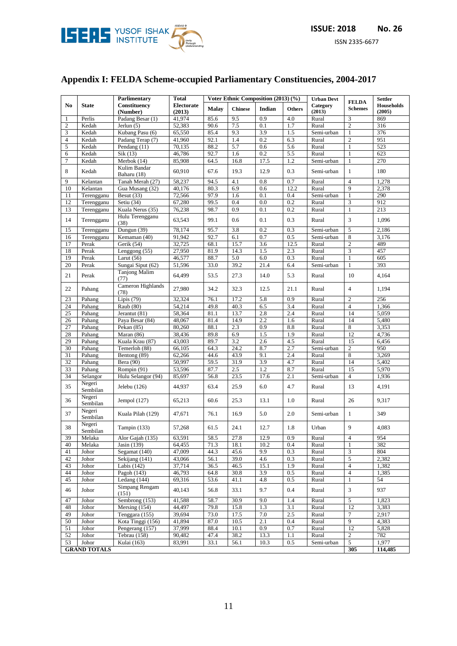

# **Appendix I: FELDA Scheme-occupied Parliamentary Constituencies, 2004-2017**

|                |                                       | Parlimentary                 | <b>Total</b>                | Voter Ethnic Composition (2013) (%) |                |        | <b>Urban Devt</b> | <b>FELDA</b>       | <b>Settler</b>   |                             |
|----------------|---------------------------------------|------------------------------|-----------------------------|-------------------------------------|----------------|--------|-------------------|--------------------|------------------|-----------------------------|
| N <sub>0</sub> | <b>State</b>                          | Constituency<br>(Number)     | <b>Electorate</b><br>(2013) | <b>Malay</b>                        | <b>Chinese</b> | Indian | <b>Others</b>     | Category<br>(2013) | <b>Schemes</b>   | <b>Households</b><br>(2005) |
| 1              | Perlis                                | Padang Besar (1)             | 41,974                      | 85.6                                | 9.5            | 0.9    | 4.0               | Rural              | 3                | 869                         |
| $\overline{c}$ | Kedah                                 | Jerlun $(5)$                 | 52,383                      | 90.6                                | 7.5            | 0.1    | 1.7               | Rural              | $\overline{2}$   | 316                         |
| 3              | Kedah                                 | Kubang Pasu (6)              | 65,550                      | 85.4                                | 9.3            | 3.9    | 1.5               | Semi-urban         | $\mathbf{1}$     | 376                         |
| 4              | Kedah                                 | Padang Terap (7)             | 41,960                      | 92.1                                | 1.4            | 0.2    | 6.3               | Rural              | $\mathfrak{2}$   | 951                         |
| 5              | Kedah                                 | Pendang (11)                 | 70,135                      | 88.2                                | 5.7            | 0.6    | 5.6               | Rural              | $\mathbf{1}$     | 523                         |
| 6              | Kedah                                 | Sik(13)                      | 46,786                      | 92.7                                | 1.6            | 0.2    | 5.5               | Rural              | $\mathbf{1}$     | 623                         |
| 7              | Kedah                                 | Merbok (14)                  | 85,908                      | 64.5                                | 16.8           | 17.5   | 1.2               | Semi-urban         | $\mathbf{1}$     | 270                         |
| 8              | Kedah                                 | Kulim Bandar<br>Baharu (18)  | 60,910                      | 67.6                                | 19.3           | 12.9   | 0.3               | Semi-urban         | $\mathbf{1}$     | 180                         |
| 9              | Kelantan                              | Tanah Merah (27)             | 58,237                      | 94.5                                | 4.1            | 0.8    | 0.7               | Rural              | $\overline{4}$   | 1,278                       |
| 10             | Kelantan                              | Gua Musang (32)              | 40,176                      | 80.3                                | 6.9            | 0.6    | 12.2              | Rural              | 9                | 2,378                       |
| 11             | Terengganu                            | Besut $(33)$                 | 72,566                      | 97.9                                | 1.6            | 0.1    | 0.4               | Semi-urban         | $\mathbf{1}$     | 290                         |
| 12             | Terengganu                            | Setiu (34)                   | 67,280                      | 99.5                                | 0.4            | 0.0    | 0.2               | Rural              | 3                | 912                         |
| 13             | Terengganu                            | Kuala Nerus (35)             | 76,238                      | 98.7                                | 0.9            | 0.1    | 0.2               | Rural              | $\mathbf{1}$     | 213                         |
| 14             | Terengganu                            | Hulu Terengganu<br>(38)      | 63,543                      | 99.1                                | 0.6            | 0.1    | 0.3               | Rural              | 3                | 1,096                       |
| 15             | Terengganu                            | Dungun (39)                  | 78,174                      | 95.7                                | 3.8            | 0.2    | 0.3               | Semi-urban         | 5                | 2,186                       |
| 16             | Terengganu                            | Kemaman (40)                 | 91,942                      | 92.7                                | 6.1            | 0.7    | 0.5               | Semi-urban         | $\overline{8}$   | 3,176                       |
| 17             | Perak                                 | Gerik (54)                   | 32,725                      | 68.1                                | 15.7           | 3.6    | 12.5              | Rural              | $\overline{2}$   | 489                         |
| 18             | Perak                                 | Lenggong (55)                | 27,950                      | 81.9                                | 14.3           | 1.5    | 2.3               | Rural              | 3                | 457                         |
| 19             | Perak                                 | Larut $(56)$                 | 46,577                      | 88.7                                | 5.0            | 6.0    | 0.3               | Rural              | $\mathbf{1}$     | 605                         |
| 20             | Perak                                 | Sungai Siput (62)            | 51,596                      | 33.0                                | 39.2           | 21.4   | 6.4               | Semi-urban         | $\mathbf{1}$     | 393                         |
| 21             | Perak                                 | <b>Tanjong Malim</b><br>(77) | 64,499                      | 53.5                                | 27.3           | 14.0   | 5.3               | Rural              | 10               | 4,164                       |
| 22             | Pahang                                | Cameron Highlands<br>(78)    | 27,980                      | 34.2                                | 32.3           | 12.5   | 21.1              | Rural              | $\overline{4}$   | 1,194                       |
| 23             | Pahang                                | Lipis $(79)$                 | 32,324                      | 76.1                                | 17.2           | 5.8    | 0.9               | Rural              | $\overline{2}$   | 256                         |
| 24             | Pahang                                | Raub (80)                    | 54,214                      | 49.8                                | 40.3           | 6.5    | 3.4               | Rural              | $\overline{4}$   | 1,366                       |
| 25             | Pahang                                | Jerantut (81)                | 58,364                      | 81.1                                | 13.7           | 2.8    | 2.4               | Rural              | 14               | 5,059                       |
| 26             | Pahang                                | Paya Besar (84)              | 48,067                      | 81.4                                | 14.9           | 2.2    | 1.6               | Rural              | 14               | 5,480                       |
| 27             | Pahang                                | Pekan $(85)$                 | 80,260                      | 88.1                                | 2.3            | 0.9    | 8.8               | Rural              | $\overline{8}$   | 3,353                       |
| 28             | Pahang                                | Maran (86)                   | 38,436                      | 89.8                                | 6.9            | 1.5    | 1.9               | Rural              | 12               | 4,736                       |
| 29             | Pahang                                | Kuala Krau (87)              | 43,003                      | 89.7                                | 3.2            | 2.6    | 4.5               | Rural              | 15               | 6,456                       |
| 30             | Pahang                                | Temerloh (88)                | 66,105                      | 64.3                                | 24.2           | 8.7    | 2.7               | Semi-urban         | $\mathbf{2}$     | 950                         |
| 31             | Pahang                                | Bentong (89)                 | 62,266                      | 44.6                                | 43.9           | 9.1    | 2.4               | Rural              | 8                | 3,269                       |
| 32             | Pahang                                | Bera (90)                    | 50,997                      | 59.5                                | 31.9           | 3.9    | 4.7               | Rural              | 14               | 5,402                       |
| 33             | Pahang                                | Rompin (91)                  | 53,596                      | 87.7                                | 2.5            | 1.2    | 8.7               | Rural              | 15               | 5,970                       |
| 34             | Selangor                              | Hulu Selangor (94)           | 85,697                      | 56.8                                | 23.5           | 17.6   | 2.1               | Semi-urban         | 4                | 1,936                       |
| 35             | Negeri<br>Sembilan                    | Jelebu $(126)$               | 44,937                      | 63.4                                | 25.9           | 6.0    | 4.7               | Rural              | 13               | 4,191                       |
| 36             | Negeri<br>Sembilan                    | Jempol $(127)$               | 65,213                      | 60.6                                | 25.3           | 13.1   | 1.0               | Rural              | 26               | 9,317                       |
| 37             | Negeri<br>Sembilan                    | Kuala Pilah (129)            | 47,671                      | 76.1                                | 16.9           | 5.0    | 2.0               | Semi-urban         | $\mathbf{1}$     | 349                         |
| 38             | Negeri<br>Sembilan                    | Tampin (133)                 | 57,268                      | 61.5                                | 24.1           | 12.7   | 1.8               | Urban              | 9                | 4,083                       |
| 39             | Melaka                                | Alor Gajah (135)             | 63,591                      | 58.5                                | 27.8           | 12.9   | 0.9               | Rural              | $\overline{4}$   | 954                         |
| 40             | Melaka                                | Jasin (139)                  | 64,455                      | 71.3                                | 18.1           | 10.2   | 0.4               | Rural              | $\mathbf{1}$     | 382                         |
| 41             | Johor                                 | Segamat (140)                | 47,009                      | 44.3                                | 45.6           | 9.9    | 0.3               | Rural              | 3                | 804                         |
| 42             | Johor                                 | Sekijang (141)               | 43,066                      | 56.1                                | 39.0           | 4.6    | 0.3               | Rural              | 5                | 2,382                       |
| 43             | Johor                                 | Labis $(142)$                | 37,714                      | 36.5                                | 46.5           | 15.1   | 1.9               | Rural              | $\overline{4}$   | 1,382                       |
| 44             | Johor                                 | Pagoh (143)                  | 46,793                      | 64.8                                | 30.8           | 3.9    | 0.5               | Rural              | $\overline{4}$   | 1,385                       |
| 45             | Johor                                 | Ledang (144)                 | 69,316                      | 53.6                                | 41.1           | 4.8    | 0.5               | Rural              | $\mathbf{1}$     | 54                          |
| 46             | Johor                                 | Simpang Rengam<br>(151)      | 40,143                      | 56.8                                | 33.1           | 9.7    | 0.4               | Rural              | 3                | 937                         |
| 47             | Johor                                 | Sembrong (153)               | 41,588                      | 58.7                                | 30.9           | 9.0    | 1.4               | Rural              | $\mathfrak{S}$   | 1,823                       |
| 48             | Johor                                 | Mersing (154)                | 44,497                      | 79.8                                | 15.8           | 1.3    | 3.1               | Rural              | $\overline{12}$  | 3,383                       |
| 49             | Johor                                 | Tenggara (155)               | 39.694                      | 73.0                                | 17.5           | 7.0    | 2.5               | Rural              | $\boldsymbol{7}$ | 2,917                       |
| 50             | Johor                                 | Kota Tinggi (156)            | 41,894                      | 87.0                                | 10.5           | 2.1    | 0.4               | Rural              | $\overline{9}$   | 4,383                       |
| 51             | Johor                                 | Pengerang (157)              | 37,999                      | 88.4                                | 10.1           | 0.9    | 0.7               | Rural              | 12               | 5,828                       |
| 52             | Johor                                 | Tebrau (158)                 | 90,482                      | 47.4                                | 38.2           | 13.3   | 1.1               | Rural              | $\overline{c}$   | 782                         |
| 53             | Johor                                 | Kulai (163)                  | 83,991                      | 33.1                                | 56.1           | 10.3   | 0.5               | Semi-urban         | $5\phantom{.0}$  | 1,977                       |
|                | <b>GRAND TOTALS</b><br>305<br>114,485 |                              |                             |                                     |                |        |                   |                    |                  |                             |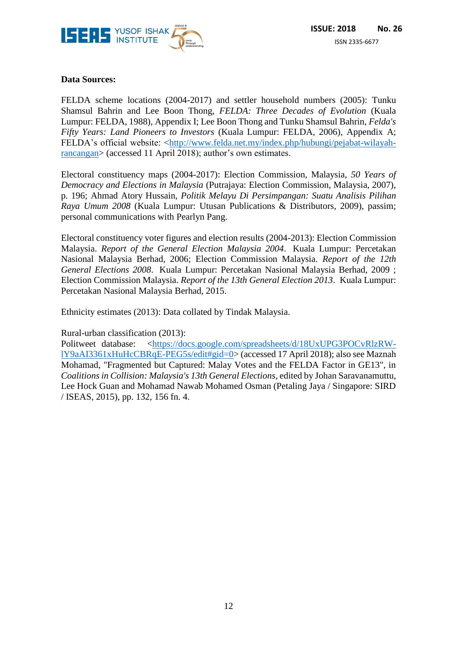

## **Data Sources:**

FELDA scheme locations (2004-2017) and settler household numbers (2005): Tunku Shamsul Bahrin and Lee Boon Thong, *FELDA: Three Decades of Evolution* (Kuala Lumpur: FELDA, 1988), Appendix I; Lee Boon Thong and Tunku Shamsul Bahrin, *Felda's Fifty Years: Land Pioneers to Investors* (Kuala Lumpur: FELDA, 2006), Appendix A; FELDA's official website: [<http://www.felda.net.my/index.php/hubungi/pejabat-wilayah](http://www.felda.net.my/index.php/hubungi/pejabat-wilayah-rancangan)[rancangan>](http://www.felda.net.my/index.php/hubungi/pejabat-wilayah-rancangan) (accessed 11 April 2018); author's own estimates.

Electoral constituency maps (2004-2017): Election Commission, Malaysia, *50 Years of Democracy and Elections in Malaysia* (Putrajaya: Election Commission, Malaysia, 2007), p. 196; Ahmad Atory Hussain, *Politik Melayu Di Persimpangan: Suatu Analisis Pilihan Raya Umum 2008* (Kuala Lumpur: Utusan Publications & Distributors, 2009), passim; personal communications with Pearlyn Pang.

Electoral constituency voter figures and election results (2004-2013): Election Commission Malaysia. *Report of the General Election Malaysia 2004*. Kuala Lumpur: Percetakan Nasional Malaysia Berhad, 2006; Election Commission Malaysia. *Report of the 12th General Elections 2008*. Kuala Lumpur: Percetakan Nasional Malaysia Berhad, 2009 ; Election Commission Malaysia. *Report of the 13th General Election 2013*. Kuala Lumpur: Percetakan Nasional Malaysia Berhad, 2015.

Ethnicity estimates (2013): Data collated by Tindak Malaysia.

Rural-urban classification (2013):

Politweet database: [<https://docs.google.com/spreadsheets/d/18UxUPG3POCvRlzRW](https://docs.google.com/spreadsheets/d/18UxUPG3POCvRlzRW-lY9aAI3361xHuHcCBRqE-PEG5s/edit#gid=0)[lY9aAI3361xHuHcCBRqE-PEG5s/edit#gid=0>](https://docs.google.com/spreadsheets/d/18UxUPG3POCvRlzRW-lY9aAI3361xHuHcCBRqE-PEG5s/edit#gid=0) (accessed 17 April 2018); also see Maznah Mohamad, "Fragmented but Captured: Malay Votes and the FELDA Factor in GE13", in *Coalitions in Collision: Malaysia's 13th General Elections*, edited by Johan Saravanamuttu, Lee Hock Guan and Mohamad Nawab Mohamed Osman (Petaling Jaya / Singapore: SIRD / ISEAS, 2015), pp. 132, 156 fn. 4.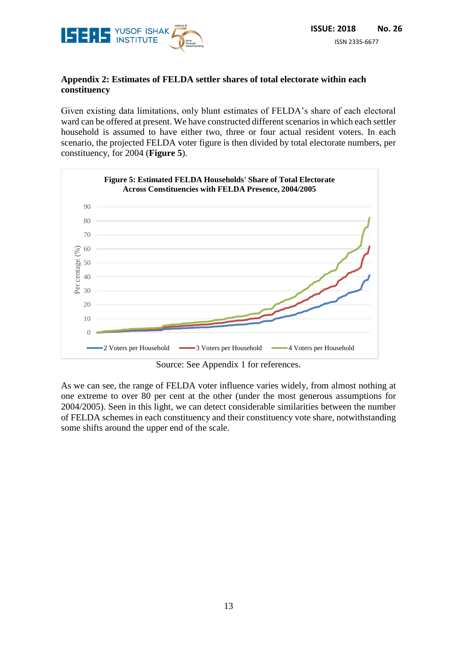

## **Appendix 2: Estimates of FELDA settler shares of total electorate within each constituency**

Given existing data limitations, only blunt estimates of FELDA's share of each electoral ward can be offered at present. We have constructed different scenarios in which each settler household is assumed to have either two, three or four actual resident voters. In each scenario, the projected FELDA voter figure is then divided by total electorate numbers, per constituency, for 2004 (**Figure 5**).



Source: See Appendix 1 for references.

As we can see, the range of FELDA voter influence varies widely, from almost nothing at one extreme to over 80 per cent at the other (under the most generous assumptions for 2004/2005). Seen in this light, we can detect considerable similarities between the number of FELDA schemes in each constituency and their constituency vote share, notwithstanding some shifts around the upper end of the scale.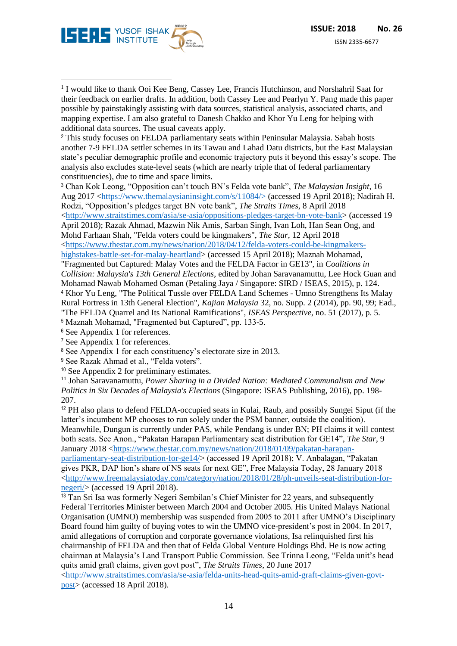

<sup>1</sup> I would like to thank Ooi Kee Beng, Cassey Lee, Francis Hutchinson, and Norshahril Saat for their feedback on earlier drafts. In addition, both Cassey Lee and Pearlyn Y. Pang made this paper possible by painstakingly assisting with data sources, statistical analysis, associated charts, and mapping expertise. I am also grateful to Danesh Chakko and Khor Yu Leng for helping with additional data sources. The usual caveats apply. -

<sup>2</sup> This study focuses on FELDA parliamentary seats within Peninsular Malaysia. Sabah hosts another 7-9 FELDA settler schemes in its Tawau and Lahad Datu districts, but the East Malaysian state's peculiar demographic profile and economic trajectory puts it beyond this essay's scope. The analysis also excludes state-level seats (which are nearly triple that of federal parliamentary constituencies), due to time and space limits.

<sup>3</sup> Chan Kok Leong, "Opposition can't touch BN's Felda vote bank", *The Malaysian Insight*, 16 Aug 2017 [<https://www.themalaysianinsight.com/s/11084/>](https://www.themalaysianinsight.com/s/11084/) (accessed 19 April 2018); Nadirah H. Rodzi, "Opposition's pledges target BN vote bank", *The Straits Times*, 8 April 2018 [<http://www.straitstimes.com/asia/se-asia/oppositions-pledges-target-bn-vote-bank>](http://www.straitstimes.com/asia/se-asia/oppositions-pledges-target-bn-vote-bank) (accessed 19 April 2018); Razak Ahmad, Mazwin Nik Amis, Sarban Singh, Ivan Loh, Han Sean Ong, and Mohd Farhaan Shah, "Felda voters could be kingmakers", *The Star*, 12 April 2018 [<https://www.thestar.com.my/news/nation/2018/04/12/felda-voters-could-be-kingmakers-](https://www.thestar.com.my/news/nation/2018/04/12/felda-voters-could-be-kingmakers-highstakes-battle-set-for-malay-heartland)

[highstakes-battle-set-for-malay-heartland>](https://www.thestar.com.my/news/nation/2018/04/12/felda-voters-could-be-kingmakers-highstakes-battle-set-for-malay-heartland) (accessed 15 April 2018); Maznah Mohamad, "Fragmented but Captured: Malay Votes and the FELDA Factor in GE13", in *Coalitions in Collision: Malaysia's 13th General Elections*, edited by Johan Saravanamuttu, Lee Hock Guan and Mohamad Nawab Mohamed Osman (Petaling Jaya / Singapore: SIRD / ISEAS, 2015), p. 124. <sup>4</sup> Khor Yu Leng, "The Political Tussle over FELDA Land Schemes - Umno Strengthens Its Malay Rural Fortress in 13th General Election", *Kajian Malaysia* 32, no. Supp. 2 (2014), pp. 90, 99; Ead., "The FELDA Quarrel and Its National Ramifications", *ISEAS Perspective*, no. 51 (2017), p. 5. <sup>5</sup> Maznah Mohamad, "Fragmented but Captured", pp. 133-5.

<sup>6</sup> See Appendix 1 for references.

<sup>7</sup> See Appendix 1 for references.

<sup>8</sup> See Appendix 1 for each constituency's electorate size in 2013.

<sup>9</sup> See Razak Ahmad et al., "Felda voters".

<sup>10</sup> See Appendix 2 for preliminary estimates.

<sup>11</sup> Johan Saravanamuttu, *Power Sharing in a Divided Nation: Mediated Communalism and New Politics in Six Decades of Malaysia's Elections* (Singapore: ISEAS Publishing, 2016), pp. 198- 207.

<sup>12</sup> PH also plans to defend FELDA-occupied seats in Kulai, Raub, and possibly Sungei Siput (if the latter's incumbent MP chooses to run solely under the PSM banner, outside the coalition). Meanwhile, Dungun is currently under PAS, while Pendang is under BN; PH claims it will contest both seats. See Anon., "Pakatan Harapan Parliamentary seat distribution for GE14", *The Star*, 9 January 2018 [<https://www.thestar.com.my/news/nation/2018/01/09/pakatan-harapan](https://www.thestar.com.my/news/nation/2018/01/09/pakatan-harapan-parliamentary-seat-distribution-for-ge14/)[parliamentary-seat-distribution-for-ge14/>](https://www.thestar.com.my/news/nation/2018/01/09/pakatan-harapan-parliamentary-seat-distribution-for-ge14/) (accessed 19 April 2018); V. Anbalagan, "Pakatan gives PKR, DAP lion's share of NS seats for next GE", Free Malaysia Today, 28 January 2018

[<http://www.freemalaysiatoday.com/category/nation/2018/01/28/ph-unveils-seat-distribution-for](http://www.freemalaysiatoday.com/category/nation/2018/01/28/ph-unveils-seat-distribution-for-negeri/)[negeri/>](http://www.freemalaysiatoday.com/category/nation/2018/01/28/ph-unveils-seat-distribution-for-negeri/) (accessed 19 April 2018).

<sup>13</sup> Tan Sri Isa was formerly Negeri Sembilan's Chief Minister for 22 years, and subsequently Federal Territories Minister between March 2004 and October 2005. His United Malays National Organisation (UMNO) membership was suspended from 2005 to 2011 after UMNO's Disciplinary Board found him guilty of buying votes to win the UMNO vice-president's post in 2004. In 2017, amid allegations of corruption and corporate governance violations, Isa relinquished first his chairmanship of FELDA and then that of Felda Global Venture Holdings Bhd. He is now acting chairman at Malaysia's Land Transport Public Commission. See Trinna Leong, "Felda unit's head quits amid graft claims, given govt post", *The Straits Times*, 20 June 2017

[<http://www.straitstimes.com/asia/se-asia/felda-units-head-quits-amid-graft-claims-given-govt](http://www.straitstimes.com/asia/se-asia/felda-units-head-quits-amid-graft-claims-given-govt-post)[post>](http://www.straitstimes.com/asia/se-asia/felda-units-head-quits-amid-graft-claims-given-govt-post) (accessed 18 April 2018).